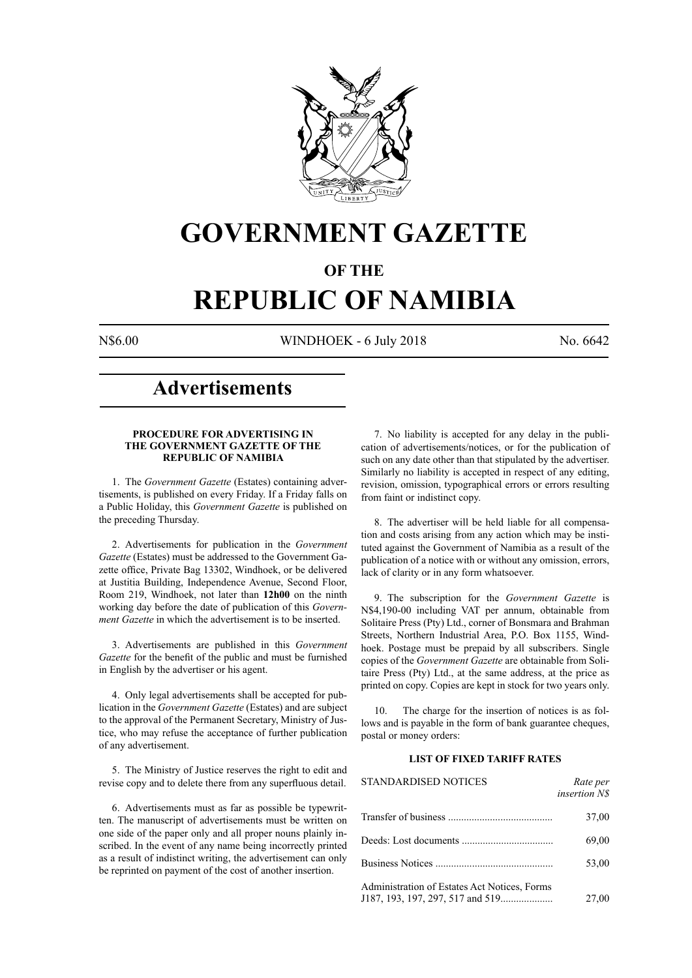

## **GOVERNMENT GAZETTE**

### **OF THE**

# **REPUBLIC OF NAMIBIA**

N\$6.00 WINDHOEK - 6 July 2018 No. 6642

### **Advertisements**

#### **PROCEDURE FOR ADVERTISING IN THE GOVERNMENT GAZETTE OF THE REPUBLIC OF NAMIBIA**

1. The *Government Gazette* (Estates) containing advertisements, is published on every Friday. If a Friday falls on a Public Holiday, this *Government Gazette* is published on the preceding Thursday.

2. Advertisements for publication in the *Government Gazette* (Estates) must be addressed to the Government Gazette office, Private Bag 13302, Windhoek, or be delivered at Justitia Building, Independence Avenue, Second Floor, Room 219, Windhoek, not later than **12h00** on the ninth working day before the date of publication of this *Government Gazette* in which the advertisement is to be inserted.

3. Advertisements are published in this *Government Gazette* for the benefit of the public and must be furnished in English by the advertiser or his agent.

4. Only legal advertisements shall be accepted for publication in the *Government Gazette* (Estates) and are subject to the approval of the Permanent Secretary, Ministry of Justice, who may refuse the acceptance of further publication of any advertisement.

5. The Ministry of Justice reserves the right to edit and revise copy and to delete there from any superfluous detail.

6. Advertisements must as far as possible be typewritten. The manuscript of advertisements must be written on one side of the paper only and all proper nouns plainly inscribed. In the event of any name being incorrectly printed as a result of indistinct writing, the advertisement can only be reprinted on payment of the cost of another insertion.

7. No liability is accepted for any delay in the publication of advertisements/notices, or for the publication of such on any date other than that stipulated by the advertiser. Similarly no liability is accepted in respect of any editing, revision, omission, typographical errors or errors resulting from faint or indistinct copy.

8. The advertiser will be held liable for all compensation and costs arising from any action which may be instituted against the Government of Namibia as a result of the publication of a notice with or without any omission, errors, lack of clarity or in any form whatsoever.

9. The subscription for the *Government Gazette* is N\$4,190-00 including VAT per annum, obtainable from Solitaire Press (Pty) Ltd., corner of Bonsmara and Brahman Streets, Northern Industrial Area, P.O. Box 1155, Windhoek. Postage must be prepaid by all subscribers. Single copies of the *Government Gazette* are obtainable from Solitaire Press (Pty) Ltd., at the same address, at the price as printed on copy. Copies are kept in stock for two years only.

10. The charge for the insertion of notices is as follows and is payable in the form of bank guarantee cheques, postal or money orders:

#### **LIST OF FIXED TARIFF RATES**

| <b>STANDARDISED NOTICES</b>                  | Rate per<br><i>insertion NS</i> |
|----------------------------------------------|---------------------------------|
|                                              | 37,00                           |
|                                              | 69,00                           |
|                                              | 53,00                           |
| Administration of Estates Act Notices, Forms | 27,00                           |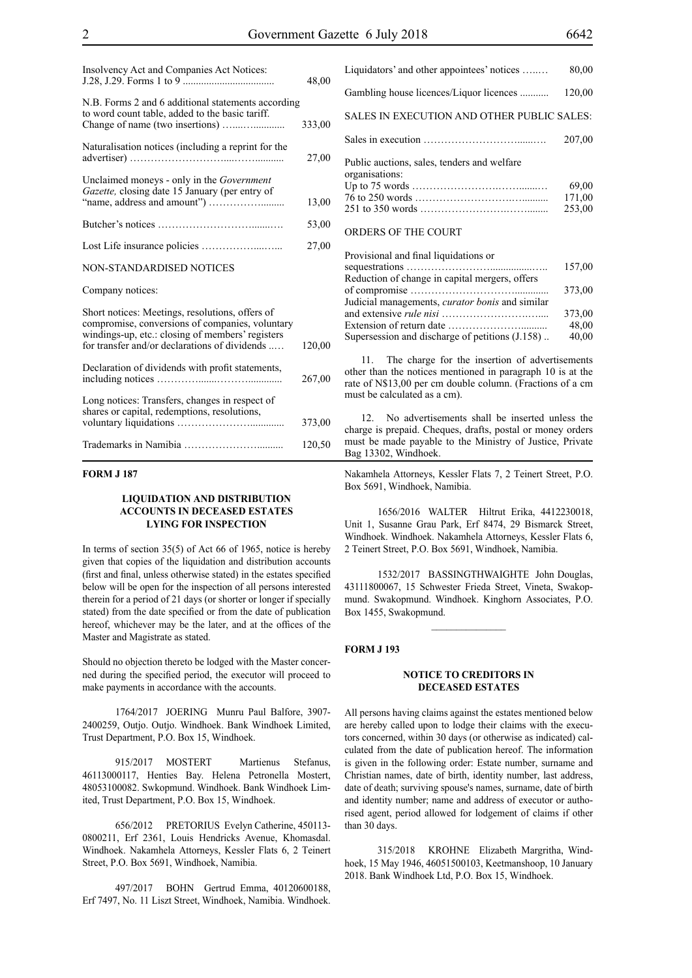| Insolvency Act and Companies Act Notices:                                                                                                                                                               | 48,00  |
|---------------------------------------------------------------------------------------------------------------------------------------------------------------------------------------------------------|--------|
| N.B. Forms 2 and 6 additional statements according<br>to word count table, added to the basic tariff.                                                                                                   | 333,00 |
| Naturalisation notices (including a reprint for the                                                                                                                                                     | 27,00  |
| Unclaimed moneys - only in the Government<br>Gazette, closing date 15 January (per entry of                                                                                                             | 13,00  |
|                                                                                                                                                                                                         | 53,00  |
|                                                                                                                                                                                                         | 27,00  |
| <b>NON-STANDARDISED NOTICES</b>                                                                                                                                                                         |        |
| Company notices:                                                                                                                                                                                        |        |
| Short notices: Meetings, resolutions, offers of<br>compromise, conversions of companies, voluntary<br>windings-up, etc.: closing of members' registers<br>for transfer and/or declarations of dividends | 120,00 |
| Declaration of dividends with profit statements,                                                                                                                                                        | 267,00 |
| Long notices: Transfers, changes in respect of<br>shares or capital, redemptions, resolutions,                                                                                                          | 373,00 |
|                                                                                                                                                                                                         | 120,50 |

#### **FORM J 187**

#### **LIQUIDATION AND DISTRIBUTION ACCOUNTS IN DECEASED ESTATES LYING FOR INSPECTION**

In terms of section 35(5) of Act 66 of 1965, notice is hereby given that copies of the liquidation and distribution accounts (first and final, unless otherwise stated) in the estates specified below will be open for the inspection of all persons interested therein for a period of 21 days (or shorter or longer if specially stated) from the date specified or from the date of publication hereof, whichever may be the later, and at the offices of the Master and Magistrate as stated.

Should no objection thereto be lodged with the Master concerned during the specified period, the executor will proceed to make payments in accordance with the accounts.

1764/2017 JOERING Munru Paul Balfore, 3907- 2400259, Outjo. Outjo. Windhoek. Bank Windhoek Limited, Trust Department, P.O. Box 15, Windhoek.

915/2017 MOSTERT Martienus Stefanus, 46113000117, Henties Bay. Helena Petronella Mostert, 48053100082. Swkopmund. Windhoek. Bank Windhoek Limited, Trust Department, P.O. Box 15, Windhoek.

656/2012 PRETORIUS Evelyn Catherine, 450113- 0800211, Erf 2361, Louis Hendricks Avenue, Khomasdal. Windhoek. Nakamhela Attorneys, Kessler Flats 6, 2 Teinert Street, P.O. Box 5691, Windhoek, Namibia.

497/2017 BOHN Gertrud Emma, 40120600188, Erf 7497, No. 11 Liszt Street, Windhoek, Namibia. Windhoek.

| Liquidators' and other appointees' notices                    | 80,00  |
|---------------------------------------------------------------|--------|
| Gambling house licences/Liquor licences                       | 120,00 |
| <b>SALES IN EXECUTION AND OTHER PUBLIC SALES:</b>             |        |
|                                                               | 207.00 |
| Public auctions, sales, tenders and welfare<br>organisations: |        |
|                                                               | 69.00  |
|                                                               | 171,00 |
|                                                               | 253,00 |
| ORDERS OF THE COURT                                           |        |

| Provisional and final liquidations or                  |        |
|--------------------------------------------------------|--------|
|                                                        | 157,00 |
| Reduction of change in capital mergers, offers         |        |
|                                                        | 373,00 |
| Judicial managements, <i>curator bonis</i> and similar |        |
|                                                        | 373,00 |
|                                                        | 48,00  |
| Supersession and discharge of petitions (J.158)        | 40,00  |

11. The charge for the insertion of advertisements other than the notices mentioned in paragraph 10 is at the rate of N\$13,00 per cm double column. (Fractions of a cm must be calculated as a cm).

12. No advertisements shall be inserted unless the charge is prepaid. Cheques, drafts, postal or money orders must be made payable to the Ministry of Justice, Private Bag 13302, Windhoek.

Nakamhela Attorneys, Kessler Flats 7, 2 Teinert Street, P.O. Box 5691, Windhoek, Namibia.

1656/2016 WALTER Hiltrut Erika, 4412230018, Unit 1, Susanne Grau Park, Erf 8474, 29 Bismarck Street, Windhoek. Windhoek. Nakamhela Attorneys, Kessler Flats 6, 2 Teinert Street, P.O. Box 5691, Windhoek, Namibia.

1532/2017 BASSINGTHWAIGHTE John Douglas, 43111800067, 15 Schwester Frieda Street, Vineta, Swakopmund. Swakopmund. Windhoek. Kinghorn Associates, P.O. Box 1455, Swakopmund.

 $\mathcal{L}_\text{max}$ 

#### **FORM J 193**

#### **NOTICE TO CREDITORS IN DECEASED ESTATES**

All persons having claims against the estates mentioned below are hereby called upon to lodge their claims with the executors concerned, within 30 days (or otherwise as indicated) calculated from the date of publication hereof. The information is given in the following order: Estate number, surname and Christian names, date of birth, identity number, last address, date of death; surviving spouse's names, surname, date of birth and identity number; name and address of executor or authorised agent, period allowed for lodgement of claims if other than 30 days.

315/2018 KROHNE Elizabeth Margritha, Windhoek, 15 May 1946, 46051500103, Keetmanshoop, 10 January 2018. Bank Windhoek Ltd, P.O. Box 15, Windhoek.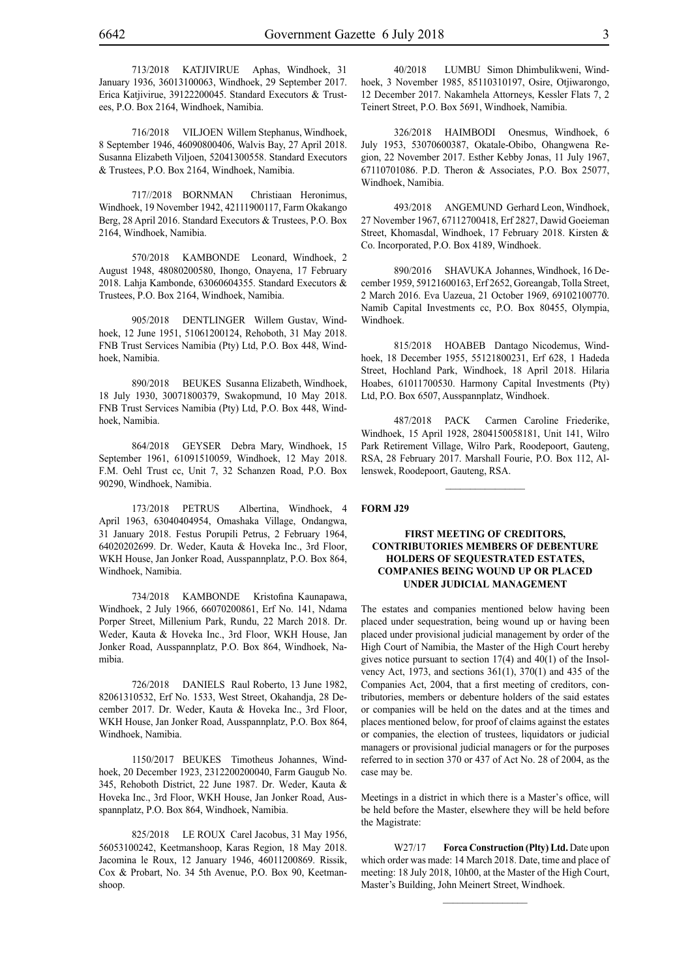713/2018 KATJIVIRUE Aphas, Windhoek, 31 January 1936, 36013100063, Windhoek, 29 September 2017. Erica Katjivirue, 39122200045. Standard Executors & Trustees, P.O. Box 2164, Windhoek, Namibia.

716/2018 VILJOEN Willem Stephanus, Windhoek, 8 September 1946, 46090800406, Walvis Bay, 27 April 2018. Susanna Elizabeth Viljoen, 52041300558. Standard Executors & Trustees, P.O. Box 2164, Windhoek, Namibia.

717//2018 BORNMAN Christiaan Heronimus, Windhoek, 19 November 1942, 42111900117, Farm Okakango Berg, 28 April 2016. Standard Executors & Trustees, P.O. Box 2164, Windhoek, Namibia.

570/2018 KAMBONDE Leonard, Windhoek, 2 August 1948, 48080200580, Ihongo, Onayena, 17 February 2018. Lahja Kambonde, 63060604355. Standard Executors & Trustees, P.O. Box 2164, Windhoek, Namibia.

905/2018 DENTLINGER Willem Gustav, Windhoek, 12 June 1951, 51061200124, Rehoboth, 31 May 2018. FNB Trust Services Namibia (Pty) Ltd, P.O. Box 448, Windhoek, Namibia.

890/2018 BEUKES Susanna Elizabeth, Windhoek, 18 July 1930, 30071800379, Swakopmund, 10 May 2018. FNB Trust Services Namibia (Pty) Ltd, P.O. Box 448, Windhoek, Namibia.

864/2018 GEYSER Debra Mary, Windhoek, 15 September 1961, 61091510059, Windhoek, 12 May 2018. F.M. Oehl Trust cc, Unit 7, 32 Schanzen Road, P.O. Box 90290, Windhoek, Namibia.

173/2018 PETRUS Albertina, Windhoek, 4 April 1963, 63040404954, Omashaka Village, Ondangwa, 31 January 2018. Festus Porupili Petrus, 2 February 1964, 64020202699. Dr. Weder, Kauta & Hoveka Inc., 3rd Floor, WKH House, Jan Jonker Road, Ausspannplatz, P.O. Box 864, Windhoek, Namibia.

734/2018 KAMBONDE Kristofina Kaunapawa, Windhoek, 2 July 1966, 66070200861, Erf No. 141, Ndama Porper Street, Millenium Park, Rundu, 22 March 2018. Dr. Weder, Kauta & Hoveka Inc., 3rd Floor, WKH House, Jan Jonker Road, Ausspannplatz, P.O. Box 864, Windhoek, Namibia.

726/2018 DANIELS Raul Roberto, 13 June 1982, 82061310532, Erf No. 1533, West Street, Okahandja, 28 December 2017. Dr. Weder, Kauta & Hoveka Inc., 3rd Floor, WKH House, Jan Jonker Road, Ausspannplatz, P.O. Box 864, Windhoek, Namibia.

1150/2017 BEUKES Timotheus Johannes, Windhoek, 20 December 1923, 2312200200040, Farm Gaugub No. 345, Rehoboth District, 22 June 1987. Dr. Weder, Kauta & Hoveka Inc., 3rd Floor, WKH House, Jan Jonker Road, Ausspannplatz, P.O. Box 864, Windhoek, Namibia.

825/2018 LE ROUX Carel Jacobus, 31 May 1956, 56053100242, Keetmanshoop, Karas Region, 18 May 2018. Jacomina le Roux, 12 January 1946, 46011200869. Rissik, Cox & Probart, No. 34 5th Avenue, P.O. Box 90, Keetmanshoop.

40/2018 LUMBU Simon Dhimbulikweni, Windhoek, 3 November 1985, 85110310197, Osire, Otjiwarongo, 12 December 2017. Nakamhela Attorneys, Kessler Flats 7, 2 Teinert Street, P.O. Box 5691, Windhoek, Namibia.

326/2018 HAIMBODI Onesmus, Windhoek, 6 July 1953, 53070600387, Okatale-Obibo, Ohangwena Region, 22 November 2017. Esther Kebby Jonas, 11 July 1967, 67110701086. P.D. Theron & Associates, P.O. Box 25077, Windhoek, Namibia.

493/2018 ANGEMUND Gerhard Leon, Windhoek, 27 November 1967, 67112700418, Erf 2827, Dawid Goeieman Street, Khomasdal, Windhoek, 17 February 2018. Kirsten & Co. Incorporated, P.O. Box 4189, Windhoek.

890/2016 SHAVUKA Johannes, Windhoek, 16 December 1959, 59121600163, Erf 2652, Goreangab, Tolla Street, 2 March 2016. Eva Uazeua, 21 October 1969, 69102100770. Namib Capital Investments cc, P.O. Box 80455, Olympia, Windhoek.

815/2018 HOABEB Dantago Nicodemus, Windhoek, 18 December 1955, 55121800231, Erf 628, 1 Hadeda Street, Hochland Park, Windhoek, 18 April 2018. Hilaria Hoabes, 61011700530. Harmony Capital Investments (Pty) Ltd, P.O. Box 6507, Ausspannplatz, Windhoek.

487/2018 PACK Carmen Caroline Friederike, Windhoek, 15 April 1928, 2804150058181, Unit 141, Wilro Park Retirement Village, Wilro Park, Roodepoort, Gauteng, RSA, 28 February 2017. Marshall Fourie, P.O. Box 112, Allenswek, Roodepoort, Gauteng, RSA.

 $\frac{1}{2}$ 

#### **FORM J29**

#### **FIRST MEETING OF CREDITORS, CONTRIBUTORIES MEMBERS OF DEBENTURE HOLDERS OF SEQUESTRATED ESTATES, COMPANIES BEING WOUND UP OR PLACED UNDER JUDICIAL MANAGEMENT**

The estates and companies mentioned below having been placed under sequestration, being wound up or having been placed under provisional judicial management by order of the High Court of Namibia, the Master of the High Court hereby gives notice pursuant to section 17(4) and 40(1) of the Insolvency Act, 1973, and sections 361(1), 370(1) and 435 of the Companies Act, 2004, that a first meeting of creditors, contributories, members or debenture holders of the said estates or companies will be held on the dates and at the times and places mentioned below, for proof of claims against the estates or companies, the election of trustees, liquidators or judicial managers or provisional judicial managers or for the purposes referred to in section 370 or 437 of Act No. 28 of 2004, as the case may be.

Meetings in a district in which there is a Master's office, will be held before the Master, elsewhere they will be held before the Magistrate:

W27/17 **Forca Construction (Plty) Ltd.** Date upon which order was made: 14 March 2018. Date, time and place of meeting: 18 July 2018, 10h00, at the Master of the High Court, Master's Building, John Meinert Street, Windhoek.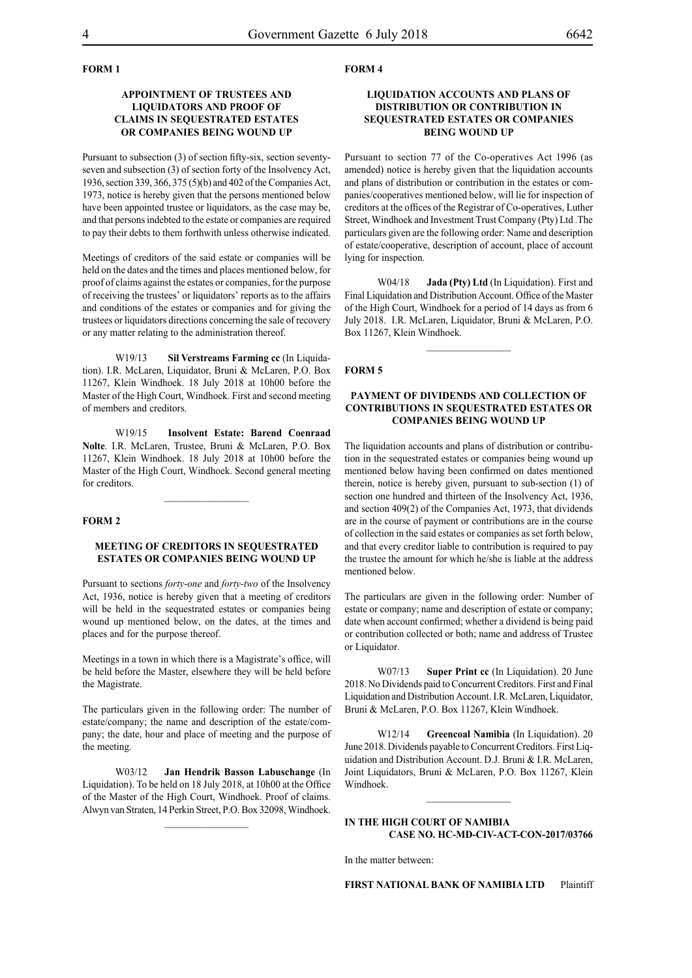#### **FORM 1**

#### **APPOINTMENT OF TRUSTEES AND LIQUIDATORS AND PROOF OF CLAIMS IN SEQUESTRATED ESTATES OR COMPANIES BEING WOUND UP**

Pursuant to subsection (3) of section fifty-six, section seventyseven and subsection (3) of section forty of the Insolvency Act, 1936, section 339, 366, 375 (5)(b) and 402 of the Companies Act, 1973, notice is hereby given that the persons mentioned below have been appointed trustee or liquidators, as the case may be, and that persons indebted to the estate or companies are required to pay their debts to them forthwith unless otherwise indicated.

Meetings of creditors of the said estate or companies will be held on the dates and the times and places mentioned below, for proof of claims against the estates or companies, for the purpose of receiving the trustees' or liquidators' reports as to the affairs and conditions of the estates or companies and for giving the trustees or liquidators directions concerning the sale of recovery or any matter relating to the administration thereof.

W19/13 **Sil Verstreams Farming cc** (In Liquidation). I.R. McLaren, Liquidator, Bruni & McLaren, P.O. Box 11267, Klein Windhoek. 18 July 2018 at 10h00 before the Master of the High Court, Windhoek. First and second meeting of members and creditors.

W19/15 **Insolvent Estate: Barend Coenraad Nolte**. I.R. McLaren, Trustee, Bruni & McLaren, P.O. Box 11267, Klein Windhoek. 18 July 2018 at 10h00 before the Master of the High Court, Windhoek. Second general meeting for creditors.

#### **FORM 2**

#### **MEETING OF CREDITORS IN SEQUESTRATED ESTATES OR COMPANIES BEING WOUND UP**

Pursuant to sections *forty-one* and *forty-two* of the Insolvency Act, 1936, notice is hereby given that a meeting of creditors will be held in the sequestrated estates or companies being wound up mentioned below, on the dates, at the times and places and for the purpose thereof.

Meetings in a town in which there is a Magistrate's office, will be held before the Master, elsewhere they will be held before the Magistrate.

The particulars given in the following order: The number of estate/company; the name and description of the estate/company; the date, hour and place of meeting and the purpose of the meeting.

W03/12 **Jan Hendrik Basson Labuschange** (In Liquidation). To be held on 18 July 2018, at 10h00 at the Office of the Master of the High Court, Windhoek. Proof of claims. Alwyn van Straten, 14 Perkin Street, P.O. Box 32098, Windhoek.

 $\frac{1}{2}$ 

#### **FORM 4**

#### **LIQUIDATION ACCOUNTS AND PLANS OF DISTRIBUTION OR CONTRIBUTION IN SEQUESTRATED ESTATES OR COMPANIES BEING WOUND UP**

Pursuant to section 77 of the Co-operatives Act 1996 (as amended) notice is hereby given that the liquidation accounts and plans of distribution or contribution in the estates or companies/cooperatives mentioned below, will lie for inspection of creditors at the offices of the Registrar of Co-operatives, Luther Street, Windhoek and Investment Trust Company (Pty) Ltd .The particulars given are the following order: Name and description of estate/cooperative, description of account, place of account lying for inspection.

W04/18 **Jada (Pty) Ltd** (In Liquidation). First and Final Liquidation and Distribution Account. Office of the Master of the High Court, Windhoek for a period of 14 days as from 6 July 2018. I.R. McLaren, Liquidator, Bruni & McLaren, P.O. Box 11267, Klein Windhoek.

#### **FORM 5**

#### **PAYMENT OF DIVIDENDS AND COLLECTION OF CONTRIBUTIONS IN SEQUESTRATED ESTATES OR COMPANIES BEING WOUND UP**

The liquidation accounts and plans of distribution or contribution in the sequestrated estates or companies being wound up mentioned below having been confirmed on dates mentioned therein, notice is hereby given, pursuant to sub-section (1) of section one hundred and thirteen of the Insolvency Act, 1936, and section 409(2) of the Companies Act, 1973, that dividends are in the course of payment or contributions are in the course of collection in the said estates or companies as set forth below, and that every creditor liable to contribution is required to pay the trustee the amount for which he/she is liable at the address mentioned below.

The particulars are given in the following order: Number of estate or company; name and description of estate or company; date when account confirmed; whether a dividend is being paid or contribution collected or both; name and address of Trustee or Liquidator.

W07/13 **Super Print cc** (In Liquidation). 20 June 2018. No Dividends paid to Concurrent Creditors. First and Final Liquidation and Distribution Account. I.R. McLaren, Liquidator, Bruni & McLaren, P.O. Box 11267, Klein Windhoek.

W12/14 **Greencoal Namibia** (In Liquidation). 20 June 2018. Dividends payable to Concurrent Creditors. First Liquidation and Distribution Account. D.J. Bruni & I.R. McLaren, Joint Liquidators, Bruni & McLaren, P.O. Box 11267, Klein Windhoek.

#### **IN THE HIGH COURT OF NAMIBIA CASE No. HC-MD-CIV-ACT-CON-2017/03766**

 $\frac{1}{2}$ 

In the matter between:

**FIRST NATIONAL BANK OF NAMIBIA LTD** Plaintiff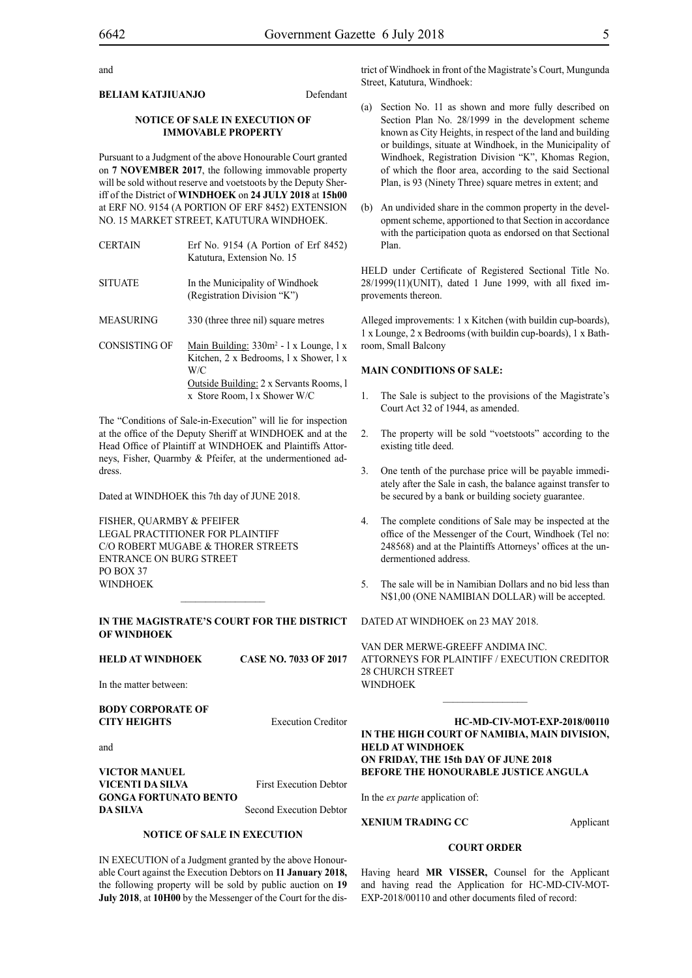and

#### **BELIAM KATJIUANJO** Defendant

#### **NOTICE OF SALE IN EXECUTION OF IMMOVABLE PROPERTY**

Pursuant to a Judgment of the above Honourable Court granted on **7 NOVEMBER 2017**, the following immovable property will be sold without reserve and voetstoots by the Deputy Sheriff of the District of **WINDHOEK** on **24 JULY 2018** at **15h00**  at ERF NO. 9154 (A PORTION OF ERF 8452) EXTENSION NO. 15 MARKET STREET, KATUTURA WINDHOEK.

CERTAIN Erf No. 9154 (A Portion of Erf 8452) Katutura, Extension No. 15 SITUATE In the Municipality of Windhoek (Registration Division "K") MEASURING 330 (three three nil) square metres CONSISTING OF Main Building:  $330m^2 - 1$  x Lounge, 1 x Kitchen, 2 x Bedrooms, l x Shower, l x W/C

> Outside Building: 2 x Servants Rooms, l x Store Room, l x Shower W/C

The "Conditions of Sale-in-Execution" will lie for inspection at the office of the Deputy Sheriff at WINDHOEK and at the Head Office of Plaintiff at WINDHOEK and Plaintiffs Attorneys, Fisher, Quarmby & Pfeifer, at the undermentioned address.

Dated at WINDHOEK this 7th day of JUNE 2018.

FISHER, QUARMBY & PFEIFER LEGAL PRACTITIONER FOR Plaintiff c/o Robert Mugabe & Thorer Streets entrance on Burg Street PO BOX 37 WINDHOEK

#### **IN THE MAGISTRATE'S COURT FOR THE DISTRICT OF WINDHOEK**

 $\frac{1}{2}$ 

**HELD AT WINDHOEK CASE NO. 7033 OF 2017**

In the matter between:

#### **BODY CORPORATE OF CITY HEIGHTS** Execution Creditor

and

**VICTOR MANUEL VICENTI DA SILVA** First Execution Debtor **GONGA FORTUNATO BENTO DA SILVA** Second Execution Debtor

#### **NOTICE OF SALE IN EXECUTION**

IN EXECUTION of a Judgment granted by the above Honourable Court against the Execution Debtors on **11 January 2018,** the following property will be sold by public auction on **19 July 2018**, at **10H00** by the Messenger of the Court for the district of Windhoek in front of the Magistrate's Court, Mungunda Street, Katutura, Windhoek:

- (a) Section No. 11 as shown and more fully described on Section Plan No. 28/1999 in the development scheme known as City Heights, in respect of the land and building or buildings, situate at Windhoek, in the Municipality of Windhoek, Registration Division "K", Khomas Region, of which the floor area, according to the said Sectional Plan, is 93 (Ninety Three) square metres in extent; and
- (b) An undivided share in the common property in the development scheme, apportioned to that Section in accordance with the participation quota as endorsed on that Sectional Plan.

HELD under Certificate of Registered Sectional Title No. 28/1999(11)(UNIT), dated 1 June 1999, with all fixed improvements thereon.

Alleged improvements: 1 x Kitchen (with buildin cup-boards), 1 x Lounge, 2 x Bedrooms (with buildin cup-boards), 1 x Bathroom, Small Balcony

#### **MAIN CONDITIONS OF SALE:**

- 1. The Sale is subject to the provisions of the Magistrate's Court Act 32 of 1944, as amended.
- 2. The property will be sold "voetstoots" according to the existing title deed.
- 3. One tenth of the purchase price will be payable immediately after the Sale in cash, the balance against transfer to be secured by a bank or building society guarantee.
- 4. The complete conditions of Sale may be inspected at the office of the Messenger of the Court, Windhoek (Tel no: 248568) and at the Plaintiffs Attorneys' offices at the undermentioned address.
- 5. The sale will be in Namibian Dollars and no bid less than N\$1,00 (ONE NAMIBIAN DOLLAR) will be accepted.

DATED AT WINDHOEK on 23 MAY 2018.

VAN DER MERWE-GREEFF ANDIMA INC. ATTORNEYS FOR Plaintiff / EXECUTION CREDITOR 28 CHURCH STREET WINDHOEK

 $\mathcal{L}_\text{max}$ 

**HC-MD-CIV-MOT-EXP-2018/00110 IN THE HIGH COURT OF NAMIBIA, MAIN DIVISION, HELD AT WINDHOEK ON FRIDAY, THE 15th DAY OF JUNE 2018 BEFORE THE HONOURABLE JUSTICE ANGULA**

In the *ex parte* application of:

**XENIUM TRADING CC** Applicant

#### **COURT ORDER**

Having heard **MR VISSER,** Counsel for the Applicant and having read the Application for HC-MD-CIV-MOT-EXP-2018/00110 and other documents filed of record: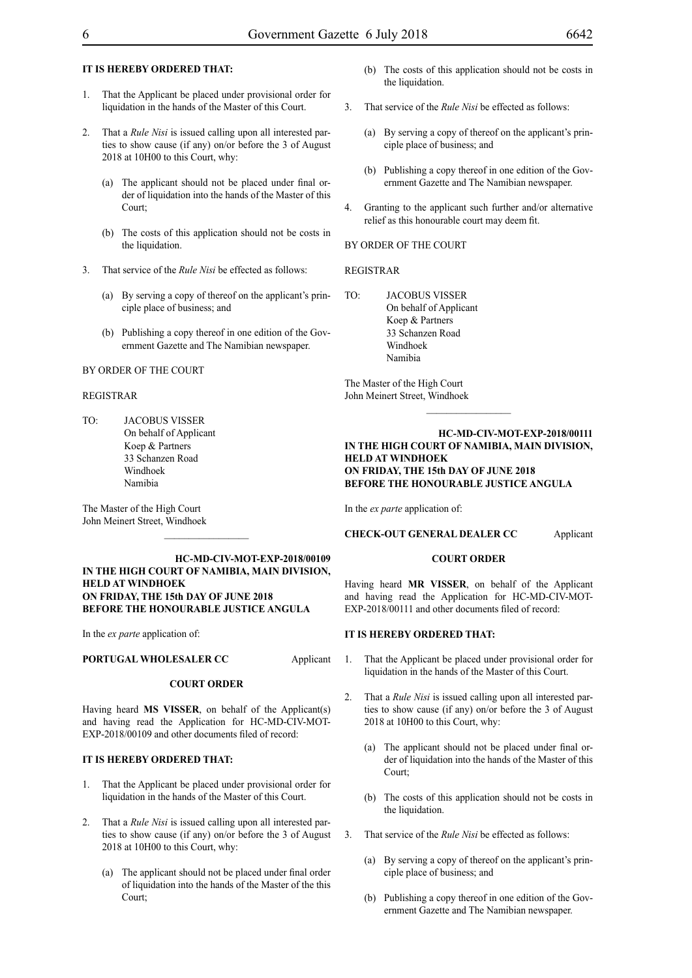#### **IT IS HEREBY ORDERED THAT:**

- 1. That the Applicant be placed under provisional order for liquidation in the hands of the Master of this Court.
- 2. That a *Rule Nisi* is issued calling upon all interested parties to show cause (if any) on/or before the 3 of August 2018 at 10H00 to this Court, why:
	- (a) The applicant should not be placed under final order of liquidation into the hands of the Master of this Court;
	- (b) The costs of this application should not be costs in the liquidation.
- 3. That service of the *Rule Nisi* be effected as follows:
	- (a) By serving a copy of thereof on the applicant's principle place of business; and
	- (b) Publishing a copy thereof in one edition of the Government Gazette and The Namibian newspaper.

#### BY ORDER OF THE COURT

#### REGISTRAR

TO: JACOBUS VISSER On behalf of Applicant Koep & Partners 33 Schanzen Road Windhoek Namibia

The Master of the High Court John Meinert Street, Windhoek

#### **HC-MD-CIV-MOT-EXP-2018/00109 IN THE HIGH COURT OF NAMIBIA, MAIN DIVISION, HELD AT WINDHOEK ON FRIDAY, THE 15th DAY OF JUNE 2018 BEFORE THE HONOURABLE JUSTICE ANGULA**

 $\frac{1}{2}$ 

In the *ex parte* application of:

#### **PORTUGAL WHOLESALER CC** Applicant

#### **COURT ORDER**

Having heard **MS VISSER**, on behalf of the Applicant(s) and having read the Application for HC-MD-CIV-MOT-EXP-2018/00109 and other documents filed of record:

#### **IT IS HEREBY ORDERED THAT:**

- 1. That the Applicant be placed under provisional order for liquidation in the hands of the Master of this Court.
- 2. That a *Rule Nisi* is issued calling upon all interested parties to show cause (if any) on/or before the 3 of August 2018 at 10H00 to this Court, why:
	- (a) The applicant should not be placed under final order of liquidation into the hands of the Master of the this Court;
- (b) The costs of this application should not be costs in the liquidation.
- 3. That service of the *Rule Nisi* be effected as follows:
	- (a) By serving a copy of thereof on the applicant's principle place of business; and
	- (b) Publishing a copy thereof in one edition of the Government Gazette and The Namibian newspaper.
- 4. Granting to the applicant such further and/or alternative relief as this honourable court may deem fit.

#### BY ORDER OF THE COURT

#### REGISTRAR

TO: JACOBUS VISSER On behalf of Applicant Koep & Partners 33 Schanzen Road Windhoek Namibia

The Master of the High Court John Meinert Street, Windhoek

#### **HC-MD-CIV-MOT-EXP-2018/00111 IN THE HIGH COURT OF NAMIBIA, MAIN DIVISION, HELD AT WINDHOEK ON FRIDAY, THE 15th DAY OF JUNE 2018 BEFORE THE HONOURABLE JUSTICE ANGULA**

 $\frac{1}{2}$ 

In the *ex parte* application of:

#### **CHECK-OUT GENERAL DEALER CC** Applicant

#### **COURT ORDER**

Having heard **Mr VISSER**, on behalf of the Applicant and having read the Application for HC-MD-CIV-MOT-EXP-2018/00111 and other documents filed of record:

#### **IT IS HEREBY ORDERED THAT:**

- 1. That the Applicant be placed under provisional order for liquidation in the hands of the Master of this Court.
- 2. That a *Rule Nisi* is issued calling upon all interested parties to show cause (if any) on/or before the 3 of August 2018 at 10H00 to this Court, why:
	- (a) The applicant should not be placed under final order of liquidation into the hands of the Master of this Court;
	- (b) The costs of this application should not be costs in the liquidation.
- 3. That service of the *Rule Nisi* be effected as follows:
	- (a) By serving a copy of thereof on the applicant's principle place of business; and
	- (b) Publishing a copy thereof in one edition of the Government Gazette and The Namibian newspaper.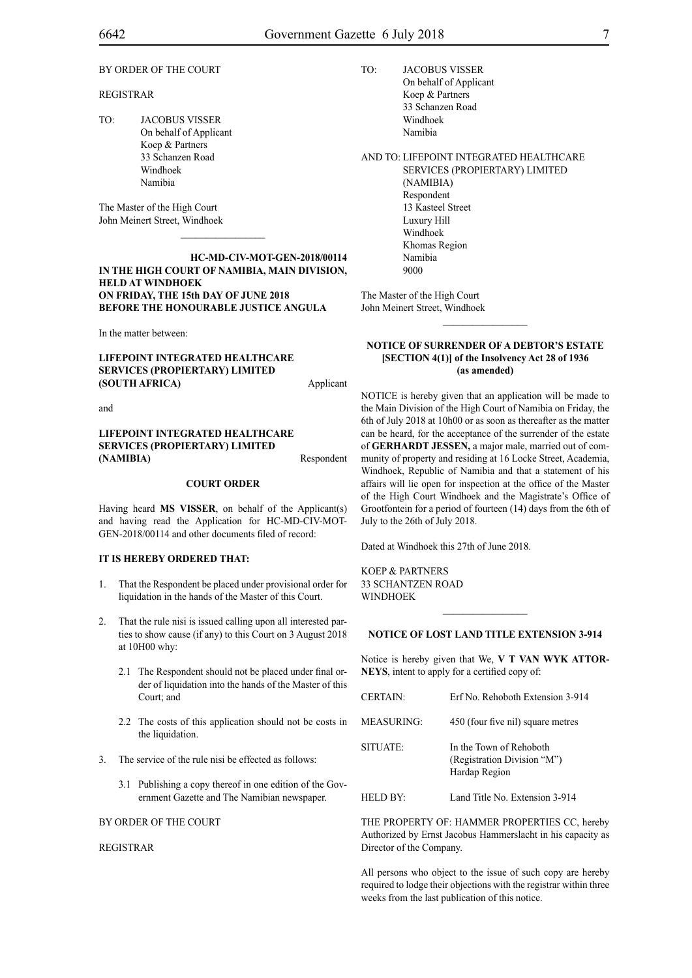#### BY ORDER OF THE COURT

#### REGISTRAR

TO: JACOBUS VISSER On behalf of Applicant Koep & Partners 33 Schanzen Road Windhoek Namibia

The Master of the High Court John Meinert Street, Windhoek

#### **HC-MD-CIV-MOT-GEN-2018/00114 IN THE HIGH COURT OF NAMIBIA, MAIN DIVISION, HELD AT WINDHOEK ON FRIDAY, THE 15th DAY OF JUNE 2018 BEFORE THE HONOURABLE JUSTICE ANGULA**

 $\overline{\phantom{a}}$  ,  $\overline{\phantom{a}}$  ,  $\overline{\phantom{a}}$  ,  $\overline{\phantom{a}}$  ,  $\overline{\phantom{a}}$  ,  $\overline{\phantom{a}}$  ,  $\overline{\phantom{a}}$  ,  $\overline{\phantom{a}}$  ,  $\overline{\phantom{a}}$  ,  $\overline{\phantom{a}}$  ,  $\overline{\phantom{a}}$  ,  $\overline{\phantom{a}}$  ,  $\overline{\phantom{a}}$  ,  $\overline{\phantom{a}}$  ,  $\overline{\phantom{a}}$  ,  $\overline{\phantom{a}}$ 

In the matter between:

**LIFEPOINT INTEGRATED HEALTHCARE SERVICES (PROPIERTARY) LIMITED (SOUTH AFRICA)** Applicant

and

#### **LIFEPOINT INTEGRATED HEALTHCARE SERVICES (PROPIERTARY) LIMITED (NAMIBIA)** Respondent

#### **COURT ORDER**

Having heard **MS VISSER**, on behalf of the Applicant(s) and having read the Application for HC-MD-CIV-MOT-GEN-2018/00114 and other documents filed of record:

#### **IT IS HEREBY ORDERED THAT:**

- 1. That the Respondent be placed under provisional order for liquidation in the hands of the Master of this Court.
- 2. That the rule nisi is issued calling upon all interested parties to show cause (if any) to this Court on 3 August 2018 at 10H00 why:
	- 2.1 The Respondent should not be placed under final order of liquidation into the hands of the Master of this Court; and
	- 2.2 The costs of this application should not be costs in the liquidation.
- 3. The service of the rule nisi be effected as follows:
	- 3.1 Publishing a copy thereof in one edition of the Government Gazette and The Namibian newspaper.

#### BY ORDER OF THE COURT

REGISTRAR

TO: JACOBUS VISSER On behalf of Applicant Koep & Partners 33 Schanzen Road Windhoek Namibia

AND TO: LIFEPOINT INTEGRATED HEALTHCARE SERVICES (PROPIERTARY) LIMITED

(NAMIBIA) Respondent 13 Kasteel Street Luxury Hill Windhoek Khomas Region Namibia 9000

The Master of the High Court John Meinert Street, Windhoek

#### **NOTICE OF SURRENDER OF A DEBTOR'S ESTATE [SECTION 4(1)] of the Insolvency Act 28 of 1936 (as amended)**

 $\frac{1}{2}$ 

NOTICE is hereby given that an application will be made to the Main Division of the High Court of Namibia on Friday, the 6th of July 2018 at 10h00 or as soon as thereafter as the matter can be heard, for the acceptance of the surrender of the estate of **GERHARDT JESSEN,** a major male, married out of community of property and residing at 16 Locke Street, Academia, Windhoek, Republic of Namibia and that a statement of his affairs will lie open for inspection at the office of the Master of the High Court Windhoek and the Magistrate's Office of Grootfontein for a period of fourteen (14) days from the 6th of July to the 26th of July 2018.

Dated at Windhoek this 27th of June 2018.

KOEP & PARTNERS 33 SCHANTZEN ROAD WINDHOEK

#### **NOTICE OF LOST LAND TITLE EXTENSION 3-914**

 $\frac{1}{2}$ 

Notice is hereby given that We, **V T VAN WYK ATTOR-NEYS**, intent to apply for a certified copy of:

| <b>CERTAIN:</b> | Erf No. Rehoboth Extension 3-914                                        |
|-----------------|-------------------------------------------------------------------------|
| MEASURING:      | 450 (four five nil) square metres                                       |
| SITUATE:        | In the Town of Rehoboth<br>(Registration Division "M")<br>Hardap Region |

HELD BY: Land Title No. Extension 3-914

THE PROPERTY OF: HAMMER PROPERTIES CC, hereby Authorized by Ernst Jacobus Hammerslacht in his capacity as Director of the Company.

All persons who object to the issue of such copy are hereby required to lodge their objections with the registrar within three weeks from the last publication of this notice.